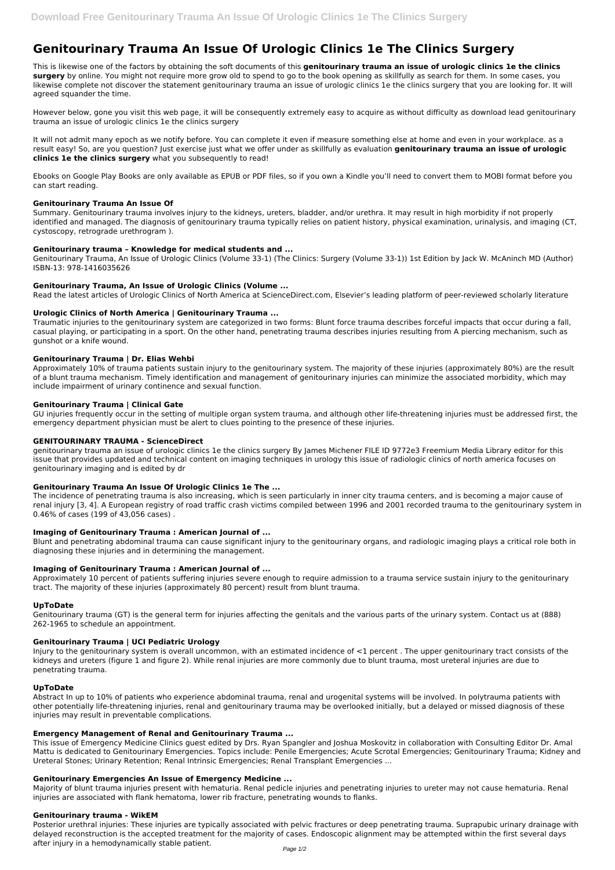# **Genitourinary Trauma An Issue Of Urologic Clinics 1e The Clinics Surgery**

This is likewise one of the factors by obtaining the soft documents of this **genitourinary trauma an issue of urologic clinics 1e the clinics surgery** by online. You might not require more grow old to spend to go to the book opening as skillfully as search for them. In some cases, you likewise complete not discover the statement genitourinary trauma an issue of urologic clinics 1e the clinics surgery that you are looking for. It will agreed squander the time.

However below, gone you visit this web page, it will be consequently extremely easy to acquire as without difficulty as download lead genitourinary trauma an issue of urologic clinics 1e the clinics surgery

It will not admit many epoch as we notify before. You can complete it even if measure something else at home and even in your workplace. as a result easy! So, are you question? Just exercise just what we offer under as skillfully as evaluation **genitourinary trauma an issue of urologic clinics 1e the clinics surgery** what you subsequently to read!

Ebooks on Google Play Books are only available as EPUB or PDF files, so if you own a Kindle you'll need to convert them to MOBI format before you can start reading.

#### **Genitourinary Trauma An Issue Of**

Summary. Genitourinary trauma involves injury to the kidneys, ureters, bladder, and/or urethra. It may result in high morbidity if not properly identified and managed. The diagnosis of genitourinary trauma typically relies on patient history, physical examination, urinalysis, and imaging (CT, cystoscopy, retrograde urethrogram ).

#### **Genitourinary trauma – Knowledge for medical students and ...**

Genitourinary Trauma, An Issue of Urologic Clinics (Volume 33-1) (The Clinics: Surgery (Volume 33-1)) 1st Edition by Jack W. McAninch MD (Author) ISBN-13: 978-1416035626

## **Genitourinary Trauma, An Issue of Urologic Clinics (Volume ...**

Read the latest articles of Urologic Clinics of North America at ScienceDirect.com, Elsevier's leading platform of peer-reviewed scholarly literature

## **Urologic Clinics of North America | Genitourinary Trauma ...**

Traumatic injuries to the genitourinary system are categorized in two forms: Blunt force trauma describes forceful impacts that occur during a fall, casual playing, or participating in a sport. On the other hand, penetrating trauma describes injuries resulting from A piercing mechanism, such as gunshot or a knife wound.

#### **Genitourinary Trauma | Dr. Elias Wehbi**

Approximately 10% of trauma patients sustain injury to the genitourinary system. The majority of these injuries (approximately 80%) are the result of a blunt trauma mechanism. Timely identification and management of genitourinary injuries can minimize the associated morbidity, which may include impairment of urinary continence and sexual function.

## **Genitourinary Trauma | Clinical Gate**

GU injuries frequently occur in the setting of multiple organ system trauma, and although other life-threatening injuries must be addressed first, the emergency department physician must be alert to clues pointing to the presence of these injuries.

#### **GENITOURINARY TRAUMA - ScienceDirect**

genitourinary trauma an issue of urologic clinics 1e the clinics surgery By James Michener FILE ID 9772e3 Freemium Media Library editor for this issue that provides updated and technical content on imaging techniques in urology this issue of radiologic clinics of north america focuses on genitourinary imaging and is edited by dr

## **Genitourinary Trauma An Issue Of Urologic Clinics 1e The ...**

The incidence of penetrating trauma is also increasing, which is seen particularly in inner city trauma centers, and is becoming a major cause of renal injury [3, 4]. A European registry of road traffic crash victims compiled between 1996 and 2001 recorded trauma to the genitourinary system in 0.46% of cases (199 of 43,056 cases) .

#### **Imaging of Genitourinary Trauma : American Journal of ...**

Blunt and penetrating abdominal trauma can cause significant injury to the genitourinary organs, and radiologic imaging plays a critical role both in diagnosing these injuries and in determining the management.

#### **Imaging of Genitourinary Trauma : American Journal of ...**

Approximately 10 percent of patients suffering injuries severe enough to require admission to a trauma service sustain injury to the genitourinary tract. The majority of these injuries (approximately 80 percent) result from blunt trauma.

#### **UpToDate**

Genitourinary trauma (GT) is the general term for injuries affecting the genitals and the various parts of the urinary system. Contact us at (888) 262-1965 to schedule an appointment.

#### **Genitourinary Trauma | UCI Pediatric Urology**

Injury to the genitourinary system is overall uncommon, with an estimated incidence of <1 percent . The upper genitourinary tract consists of the

kidneys and ureters (figure 1 and figure 2). While renal injuries are more commonly due to blunt trauma, most ureteral injuries are due to penetrating trauma.

## **UpToDate**

Abstract In up to 10% of patients who experience abdominal trauma, renal and urogenital systems will be involved. In polytrauma patients with other potentially life-threatening injuries, renal and genitourinary trauma may be overlooked initially, but a delayed or missed diagnosis of these injuries may result in preventable complications.

#### **Emergency Management of Renal and Genitourinary Trauma ...**

This issue of Emergency Medicine Clinics guest edited by Drs. Ryan Spangler and Joshua Moskovitz in collaboration with Consulting Editor Dr. Amal Mattu is dedicated to Genitourinary Emergencies. Topics include: Penile Emergencies; Acute Scrotal Emergencies; Genitourinary Trauma; Kidney and Ureteral Stones; Urinary Retention; Renal Intrinsic Emergencies; Renal Transplant Emergencies ...

#### **Genitourinary Emergencies An Issue of Emergency Medicine ...**

Majority of blunt trauma injuries present with hematuria. Renal pedicle injuries and penetrating injuries to ureter may not cause hematuria. Renal injuries are associated with flank hematoma, lower rib fracture, penetrating wounds to flanks.

#### **Genitourinary trauma - WikEM**

Posterior urethral injuries: These injuries are typically associated with pelvic fractures or deep penetrating trauma. Suprapubic urinary drainage with delayed reconstruction is the accepted treatment for the majority of cases. Endoscopic alignment may be attempted within the first several days after injury in a hemodynamically stable patient.